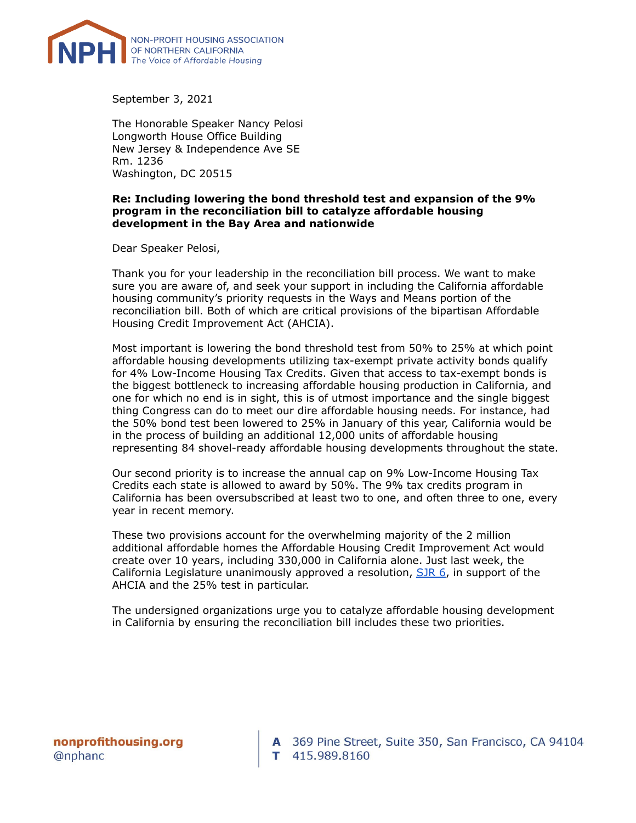

September 3, 2021

The Honorable Speaker Nancy Pelosi Longworth House Office Building New Jersey & Independence Ave SE Rm. 1236 Washington, DC 20515

## **Re: Including lowering the bond threshold test and expansion of the 9% program in the reconciliation bill to catalyze affordable housing development in the Bay Area and nationwide**

Dear Speaker Pelosi,

Thank you for your leadership in the reconciliation bill process. We want to make sure you are aware of, and seek your support in including the California affordable housing community's priority requests in the Ways and Means portion of the reconciliation bill. Both of which are critical provisions of the bipartisan Affordable Housing Credit Improvement Act (AHCIA).

Most important is lowering the bond threshold test from 50% to 25% at which point affordable housing developments utilizing tax-exempt private activity bonds qualify for 4% Low-Income Housing Tax Credits. Given that access to tax-exempt bonds is the biggest bottleneck to increasing affordable housing production in California, and one for which no end is in sight, this is of utmost importance and the single biggest thing Congress can do to meet our dire affordable housing needs. For instance, had the 50% bond test been lowered to 25% in January of this year, California would be in the process of building an additional 12,000 units of affordable housing representing 84 shovel-ready affordable housing developments throughout the state.

Our second priority is to increase the annual cap on 9% Low-Income Housing Tax Credits each state is allowed to award by 50%. The 9% tax credits program in California has been oversubscribed at least two to one, and often three to one, every year in recent memory.

These two provisions account for the overwhelming majority of the 2 million additional affordable homes the Affordable Housing Credit Improvement Act would create over 10 years, including 330,000 in California alone. Just last week, the California Legislature unanimously approved a resolution, [SJR](https://leginfo.legislature.ca.gov/faces/billNavClient.xhtml?bill_id=202120220SJR6) 6, in support of the AHCIA and the 25% test in particular.

The undersigned organizations urge you to catalyze affordable housing development in California by ensuring the reconciliation bill includes these two priorities.